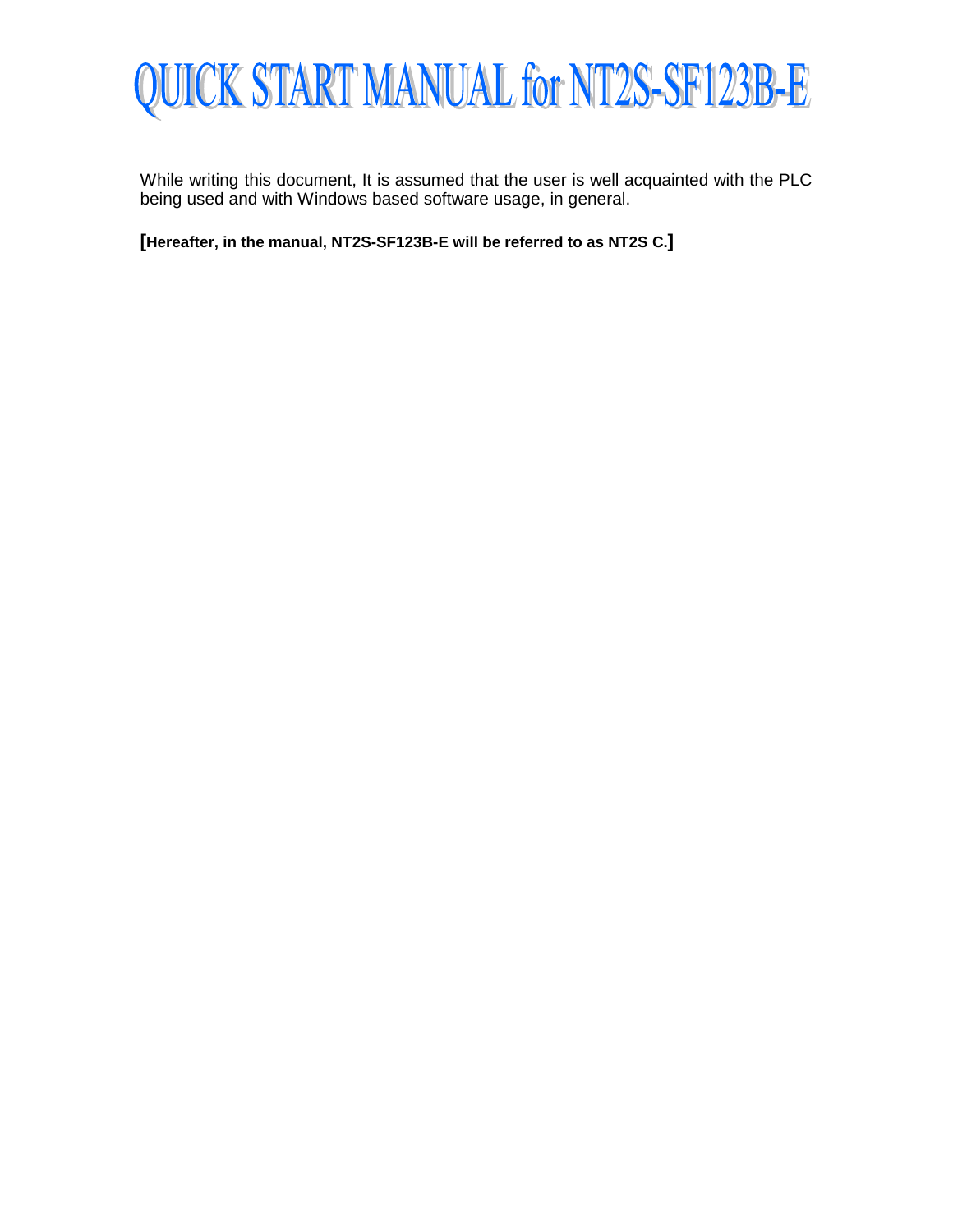

While writing this document, It is assumed that the user is well acquainted with the PLC being used and with Windows based software usage, in general.

**[Hereafter, in the manual, NT2S-SF123B-E will be referred to as NT2S C.]**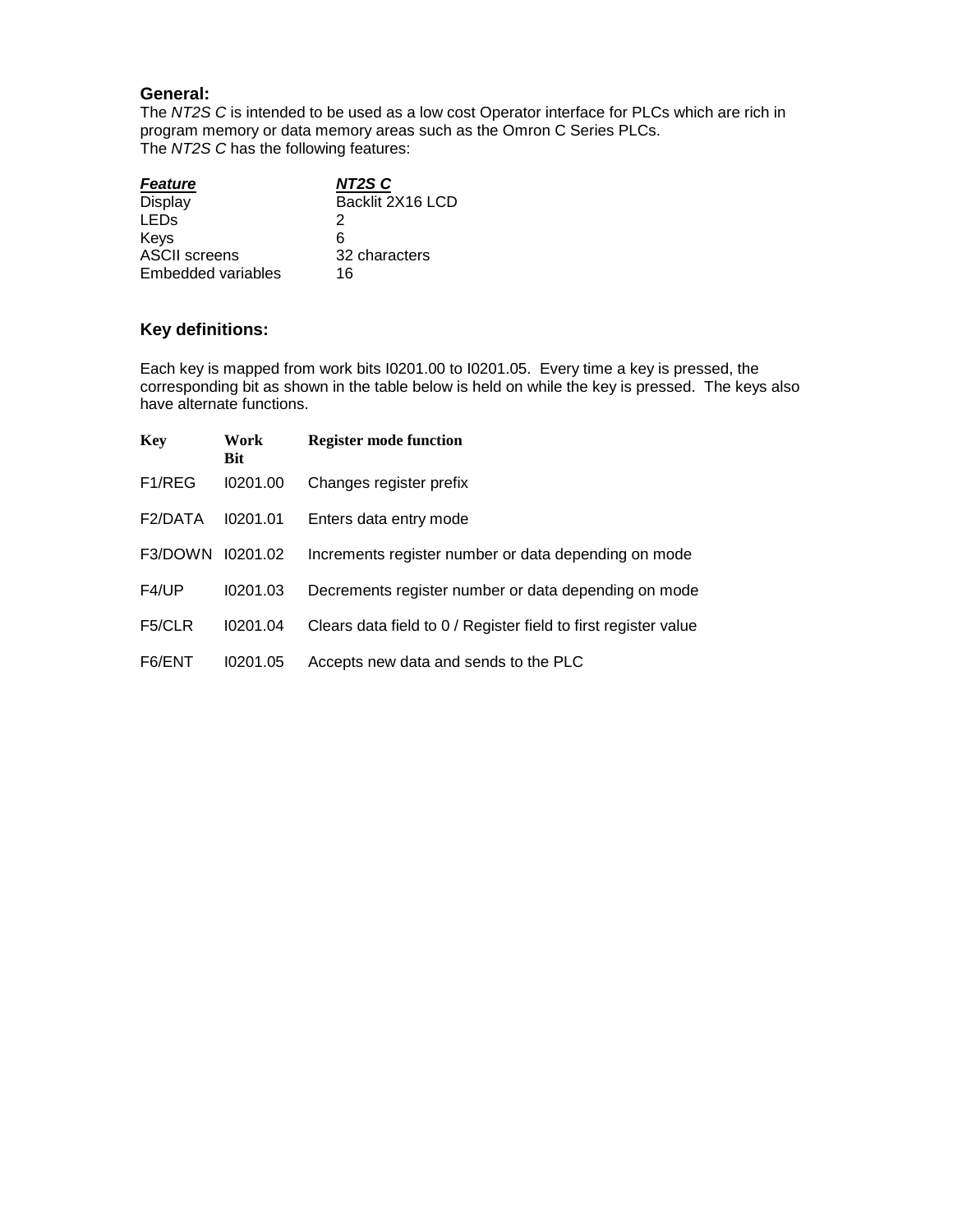### **General:**

The *NT2S C* is intended to be used as a low cost Operator interface for PLCs which are rich in program memory or data memory areas such as the Omron C Series PLCs. The *NT2S C* has the following features:

| <b>Feature</b>            | NT2S C           |
|---------------------------|------------------|
| <b>Display</b>            | Backlit 2X16 LCD |
| <b>LED<sub>S</sub></b>    | 2                |
| Keys                      | 6                |
| <b>ASCII</b> screens      | 32 characters    |
| <b>Embedded variables</b> | 16               |

# **Key definitions:**

Each key is mapped from work bits I0201.00 to I0201.05. Every time a key is pressed, the corresponding bit as shown in the table below is held on while the key is pressed. The keys also have alternate functions.

| <b>Key</b>          | Work<br>Bit | <b>Register mode function</b>                                   |
|---------------------|-------------|-----------------------------------------------------------------|
| F <sub>1</sub> /REG | 10201.00    | Changes register prefix                                         |
| F2/DATA             | 10201.01    | Enters data entry mode                                          |
| F3/DOWN             | 10201.02    | Increments register number or data depending on mode            |
| F4/UP               | 10201.03    | Decrements register number or data depending on mode            |
| F <sub>5</sub> /CLR | 10201.04    | Clears data field to 0 / Register field to first register value |
| F6/ENT              | 10201.05    | Accepts new data and sends to the PLC                           |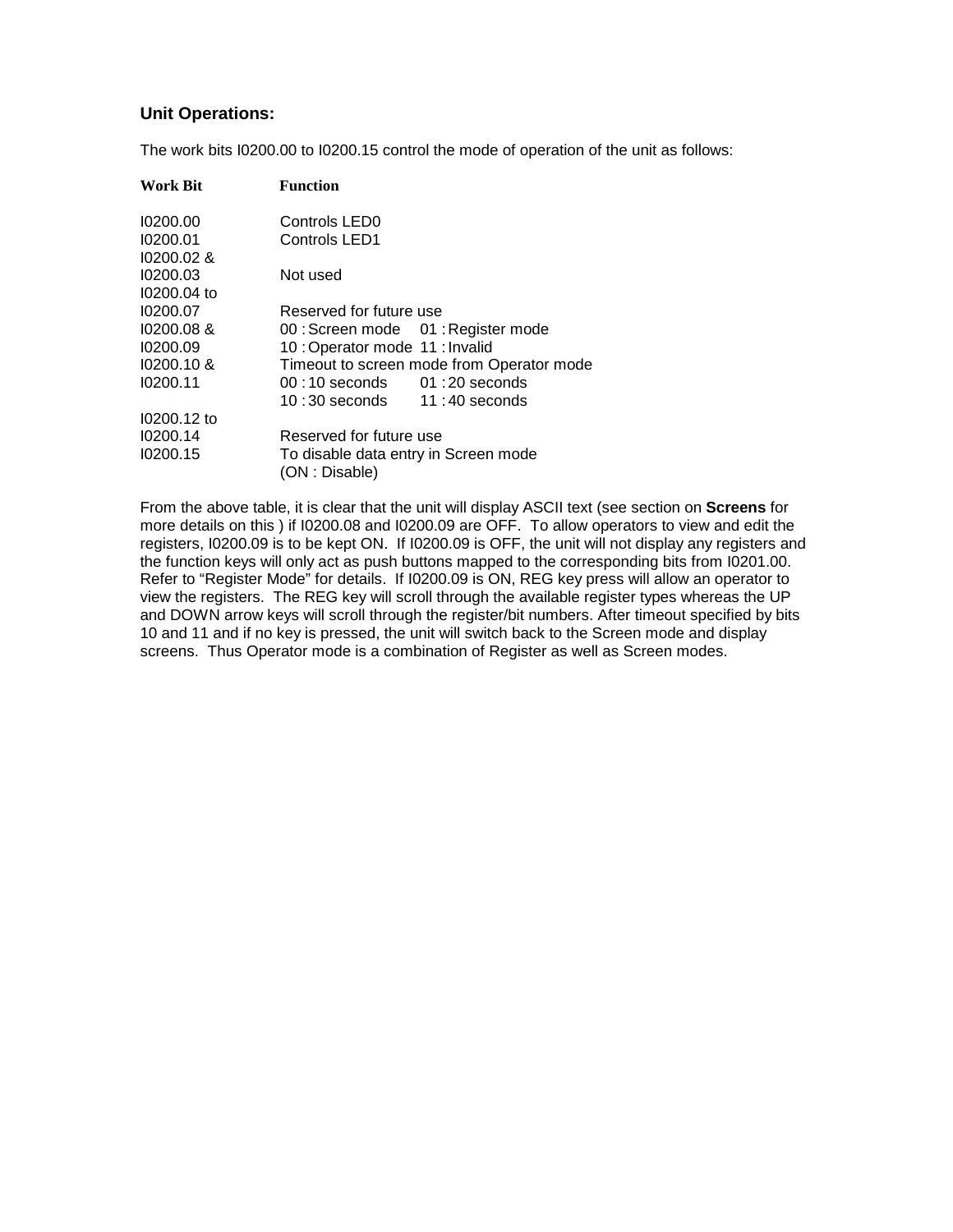### **Unit Operations:**

The work bits I0200.00 to I0200.15 control the mode of operation of the unit as follows:

| <b>Work Bit</b> | <b>Function</b>                                        |
|-----------------|--------------------------------------------------------|
| 10200.00        | Controls LED0                                          |
| 10200.01        | Controls LED1                                          |
| $10200.02$ &    |                                                        |
| 10200.03        | Not used                                               |
| 10200.04 to     |                                                        |
| 10200.07        | Reserved for future use                                |
| 10200.08 &      | 00: Screen mode 01: Register mode                      |
| 10200.09        | 10: Operator mode 11: Invalid                          |
| $10200.10 \&$   | Timeout to screen mode from Operator mode              |
| 10200.11        | $00:10$ seconds $01:20$ seconds                        |
|                 | $10:30$ seconds $11:40$ seconds                        |
| 10200.12 to     |                                                        |
| 10200.14        | Reserved for future use                                |
| 10200.15        | To disable data entry in Screen mode<br>(ON : Disable) |

From the above table, it is clear that the unit will display ASCII text (see section on **Screens** for more details on this ) if I0200.08 and I0200.09 are OFF. To allow operators to view and edit the registers, I0200.09 is to be kept ON. If I0200.09 is OFF, the unit will not display any registers and the function keys will only act as push buttons mapped to the corresponding bits from I0201.00. Refer to "Register Mode" for details. If I0200.09 is ON, REG key press will allow an operator to view the registers. The REG key will scroll through the available register types whereas the UP and DOWN arrow keys will scroll through the register/bit numbers. After timeout specified by bits 10 and 11 and if no key is pressed, the unit will switch back to the Screen mode and display screens. Thus Operator mode is a combination of Register as well as Screen modes.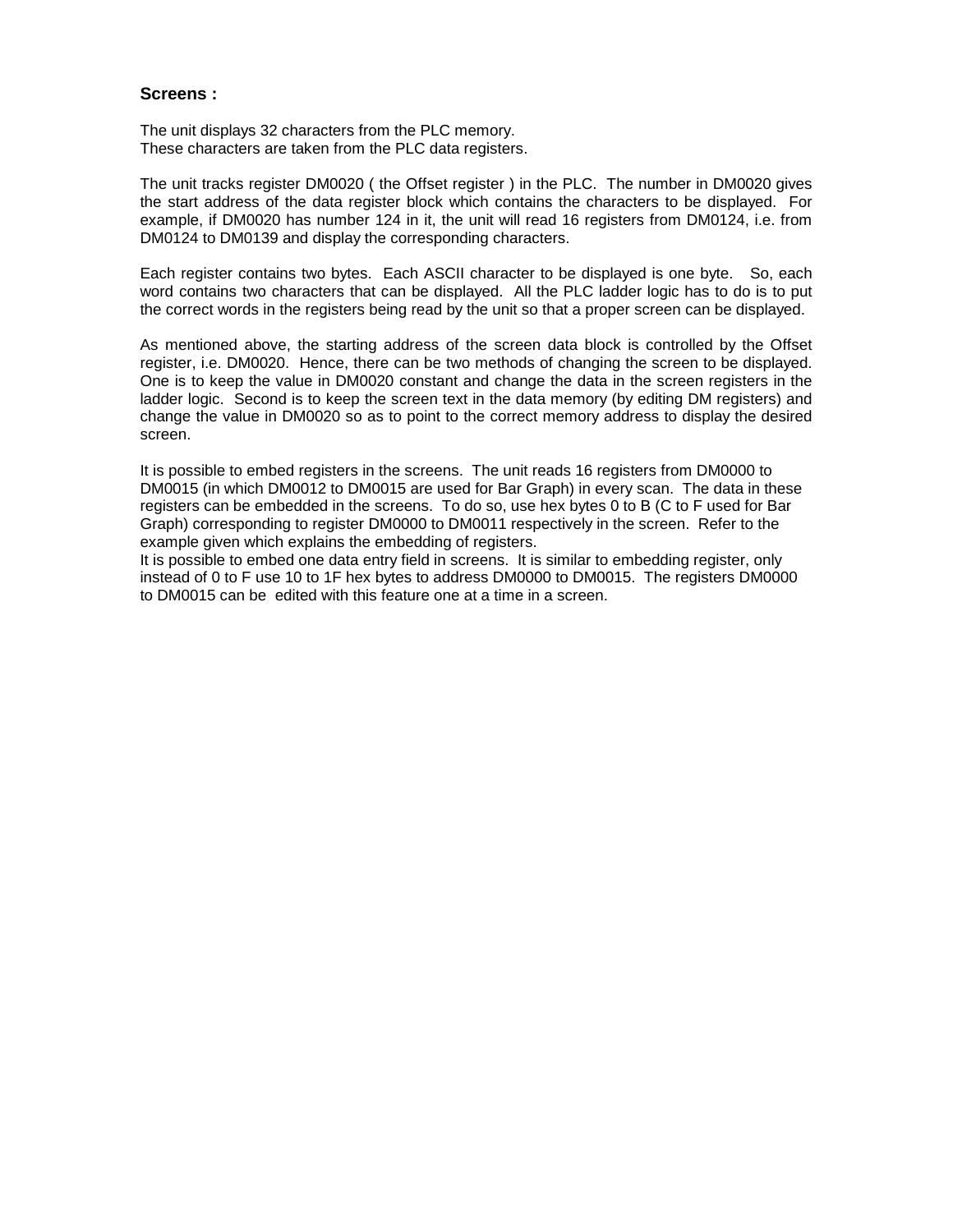#### **Screens :**

The unit displays 32 characters from the PLC memory. These characters are taken from the PLC data registers.

The unit tracks register DM0020 ( the Offset register ) in the PLC. The number in DM0020 gives the start address of the data register block which contains the characters to be displayed. For example, if DM0020 has number 124 in it, the unit will read 16 registers from DM0124, i.e. from DM0124 to DM0139 and display the corresponding characters.

Each register contains two bytes. Each ASCII character to be displayed is one byte. So, each word contains two characters that can be displayed. All the PLC ladder logic has to do is to put the correct words in the registers being read by the unit so that a proper screen can be displayed.

As mentioned above, the starting address of the screen data block is controlled by the Offset register, i.e. DM0020. Hence, there can be two methods of changing the screen to be displayed. One is to keep the value in DM0020 constant and change the data in the screen registers in the ladder logic. Second is to keep the screen text in the data memory (by editing DM registers) and change the value in DM0020 so as to point to the correct memory address to display the desired screen.

It is possible to embed registers in the screens. The unit reads 16 registers from DM0000 to DM0015 (in which DM0012 to DM0015 are used for Bar Graph) in every scan. The data in these registers can be embedded in the screens. To do so, use hex bytes 0 to B (C to F used for Bar Graph) corresponding to register DM0000 to DM0011 respectively in the screen. Refer to the example given which explains the embedding of registers.

It is possible to embed one data entry field in screens. It is similar to embedding register, only instead of 0 to F use 10 to 1F hex bytes to address DM0000 to DM0015. The registers DM0000 to DM0015 can be edited with this feature one at a time in a screen.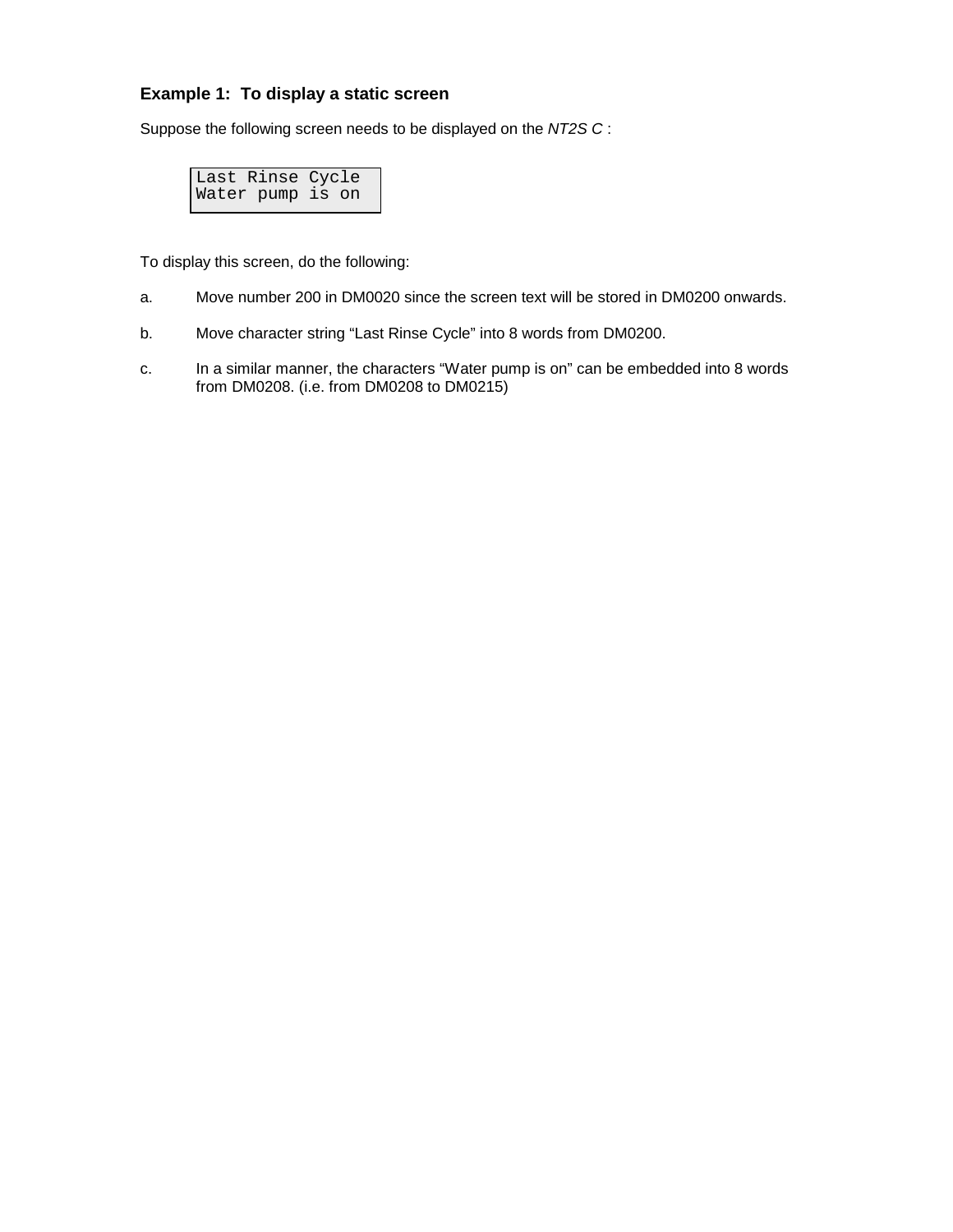# **Example 1: To display a static screen**

Suppose the following screen needs to be displayed on the *NT2S C* :

Last Rinse Cycle Water pump is on

To display this screen, do the following:

- a. Move number 200 in DM0020 since the screen text will be stored in DM0200 onwards.
- b. Move character string "Last Rinse Cycle" into 8 words from DM0200.
- c. In a similar manner, the characters "Water pump is on" can be embedded into 8 words from DM0208. (i.e. from DM0208 to DM0215)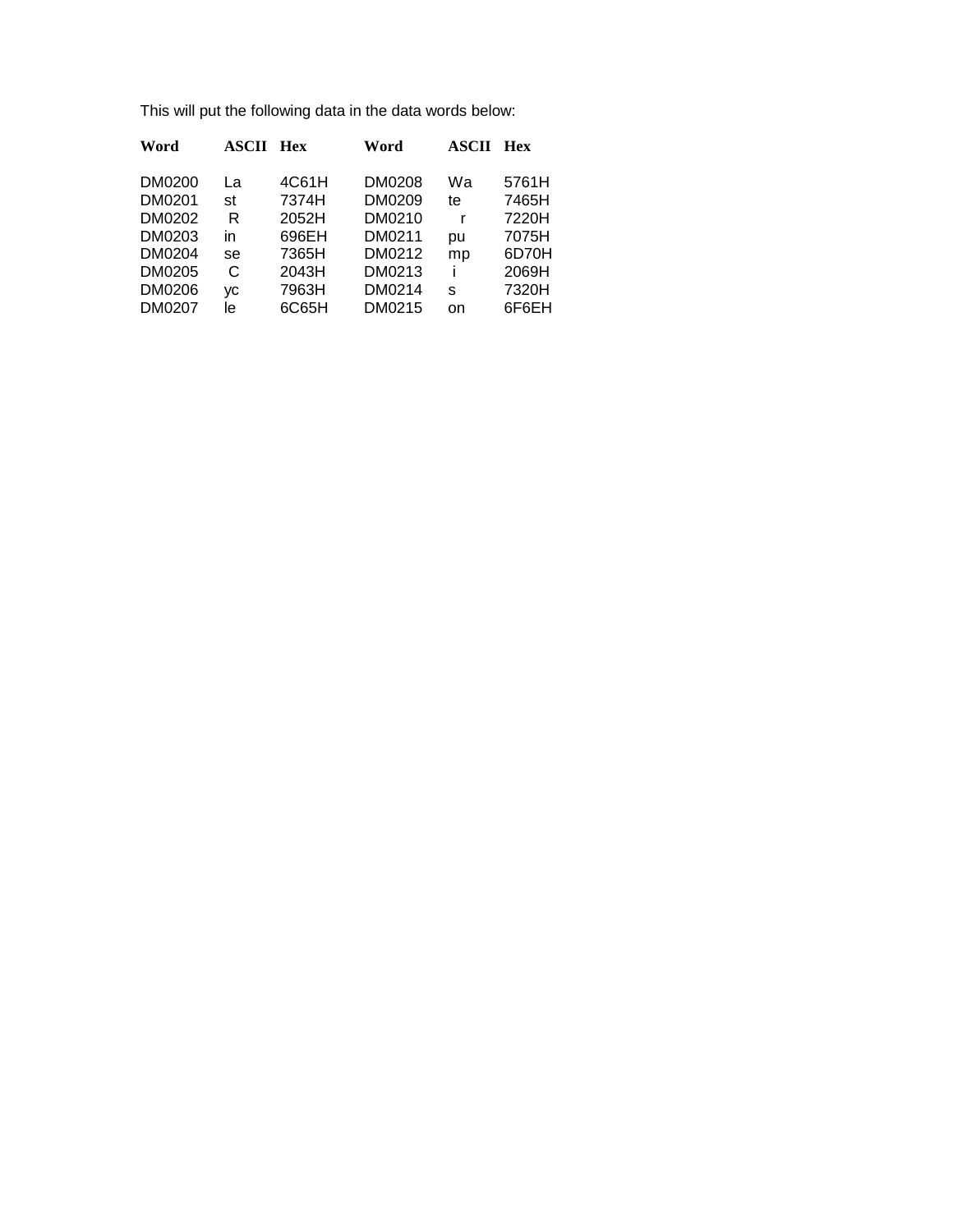This will put the following data in the data words below:

| Word   | <b>ASCII</b> | Hex   | Word   | <b>ASCII</b> | Hex   |
|--------|--------------|-------|--------|--------------|-------|
| DM0200 | La           | 4C61H | DM0208 | Wa           | 5761H |
| DM0201 | st           | 7374H | DM0209 | te           | 7465H |
| DM0202 | R            | 2052H | DM0210 | r            | 7220H |
| DM0203 | in           | 696EH | DM0211 | pu           | 7075H |
| DM0204 | se           | 7365H | DM0212 | mp           | 6D70H |
| DM0205 | C            | 2043H | DM0213 |              | 2069H |
| DM0206 | VC           | 7963H | DM0214 | s            | 7320H |
| DM0207 | le           | 6C65H | DM0215 | on           | 6F6EH |
|        |              |       |        |              |       |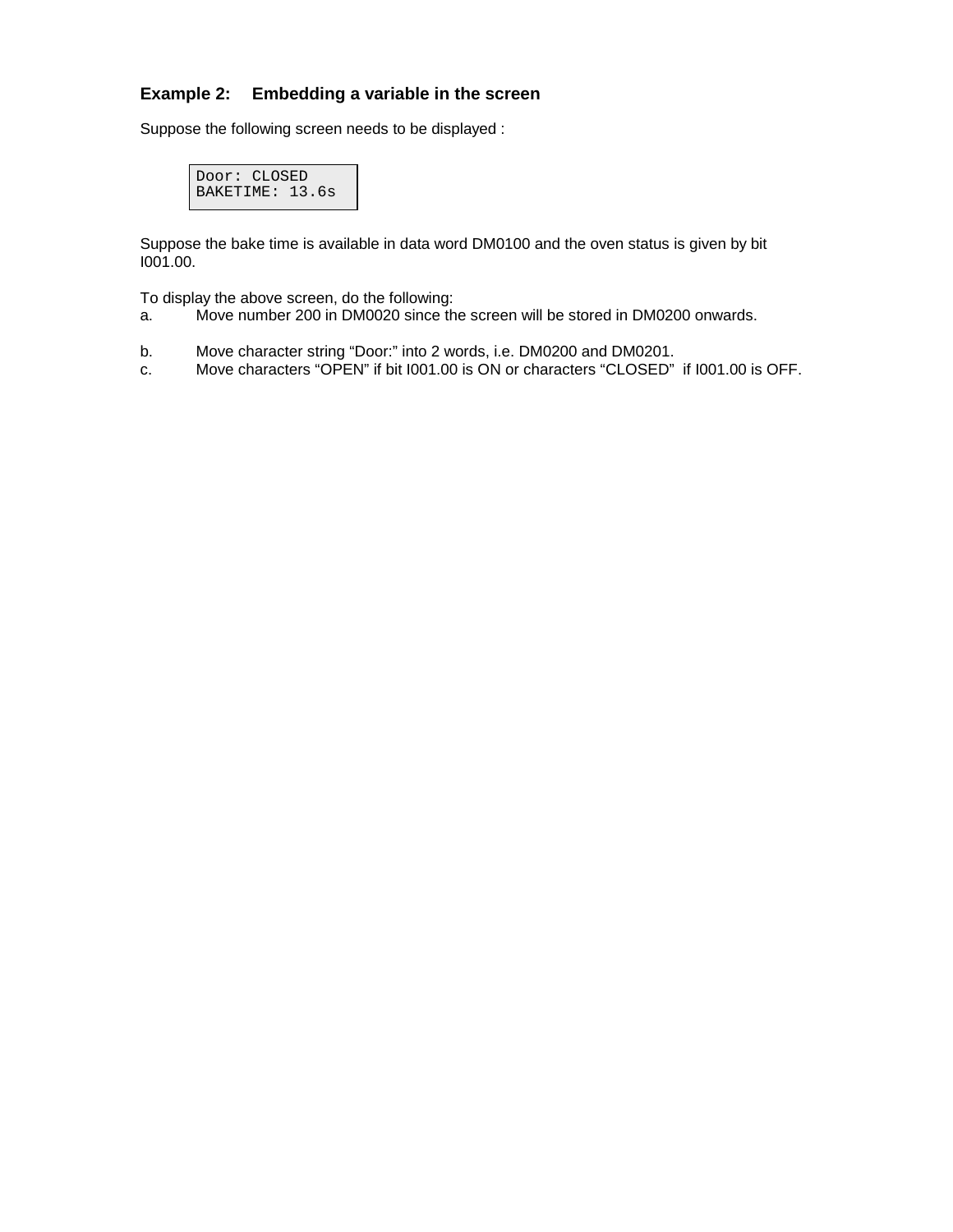## **Example 2: Embedding a variable in the screen**

Suppose the following screen needs to be displayed :

```
Door: CLOSED
BAKETIME: 13.6s
```
Suppose the bake time is available in data word DM0100 and the oven status is given by bit I001.00.

To display the above screen, do the following:

- a. Move number 200 in DM0020 since the screen will be stored in DM0200 onwards.
- b. Move character string "Door:" into 2 words, i.e. DM0200 and DM0201.
- c. Move characters "OPEN" if bit I001.00 is ON or characters "CLOSED" if I001.00 is OFF.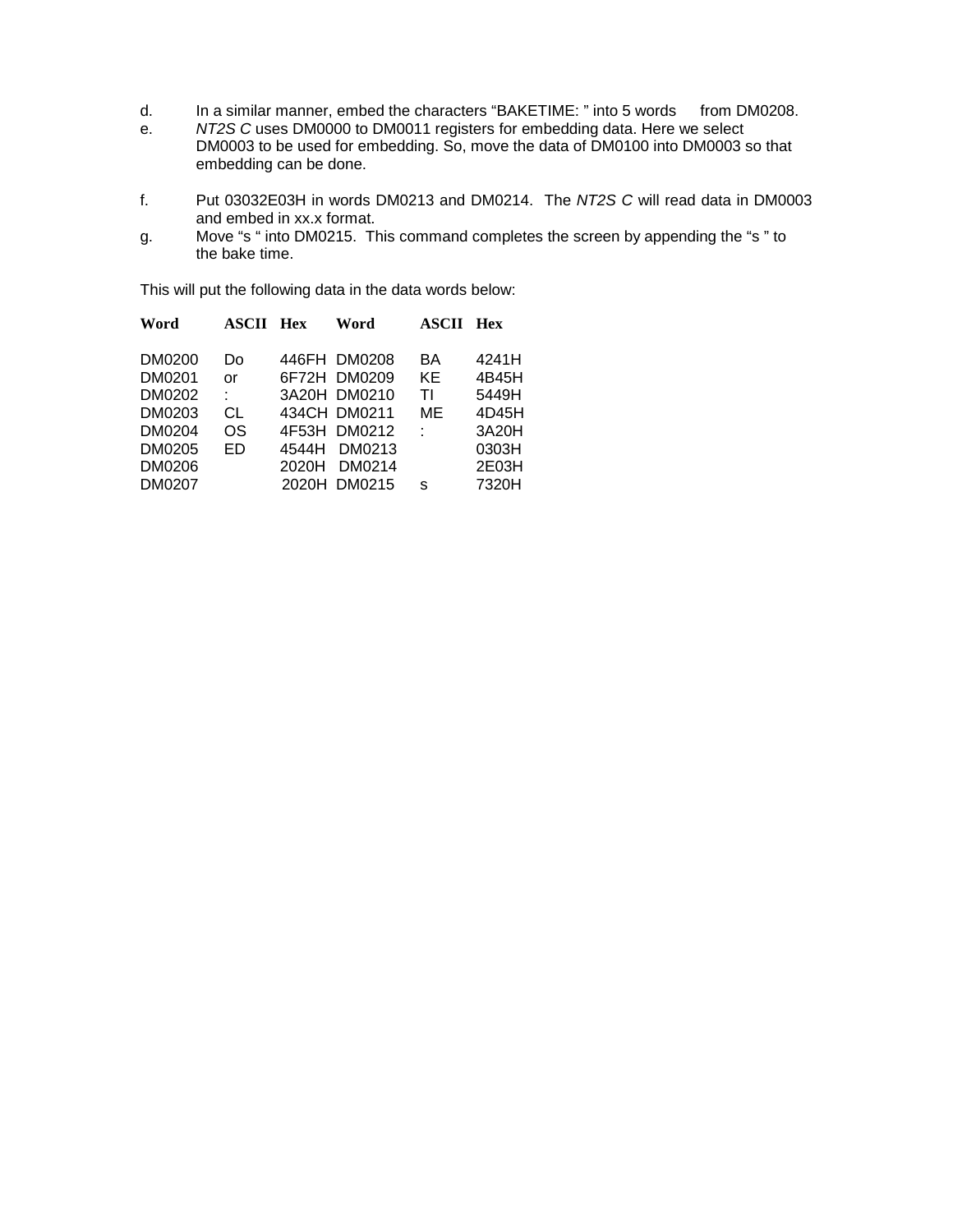- d. In a similar manner, embed the characters "BAKETIME: " into 5 words from DM0208.
- e. *NT2S C* uses DM0000 to DM0011 registers for embedding data. Here we select DM0003 to be used for embedding. So, move the data of DM0100 into DM0003 so that embedding can be done.
- f. Put 03032E03H in words DM0213 and DM0214. The *NT2S C* will read data in DM0003 and embed in xx.x format.
- g. Move "s " into DM0215. This command completes the screen by appending the "s " to the bake time.

This will put the following data in the data words below:

| Word                                                               | ASCII                            | Hex            | Word                                                                                             | ASCII                     | <b>Hex</b>                                                  |
|--------------------------------------------------------------------|----------------------------------|----------------|--------------------------------------------------------------------------------------------------|---------------------------|-------------------------------------------------------------|
| DM0200<br>DM0201<br>DM0202<br>DM0203<br>DM0204<br>DM0205<br>DM0206 | Do<br>or<br>t.<br>СL<br>OS<br>ED | 4544H<br>2020H | 446FH DM0208<br>6F72H DM0209<br>3A20H DM0210<br>434CH DM0211<br>4F53H DM0212<br>DM0213<br>DM0214 | BA<br>KE<br>ΤI<br>ME<br>÷ | 4241H<br>4B45H<br>5449H<br>4D45H<br>3A20H<br>0303H<br>2E03H |
| DM0207                                                             |                                  |                | 2020H DM0215                                                                                     | S                         | 7320H                                                       |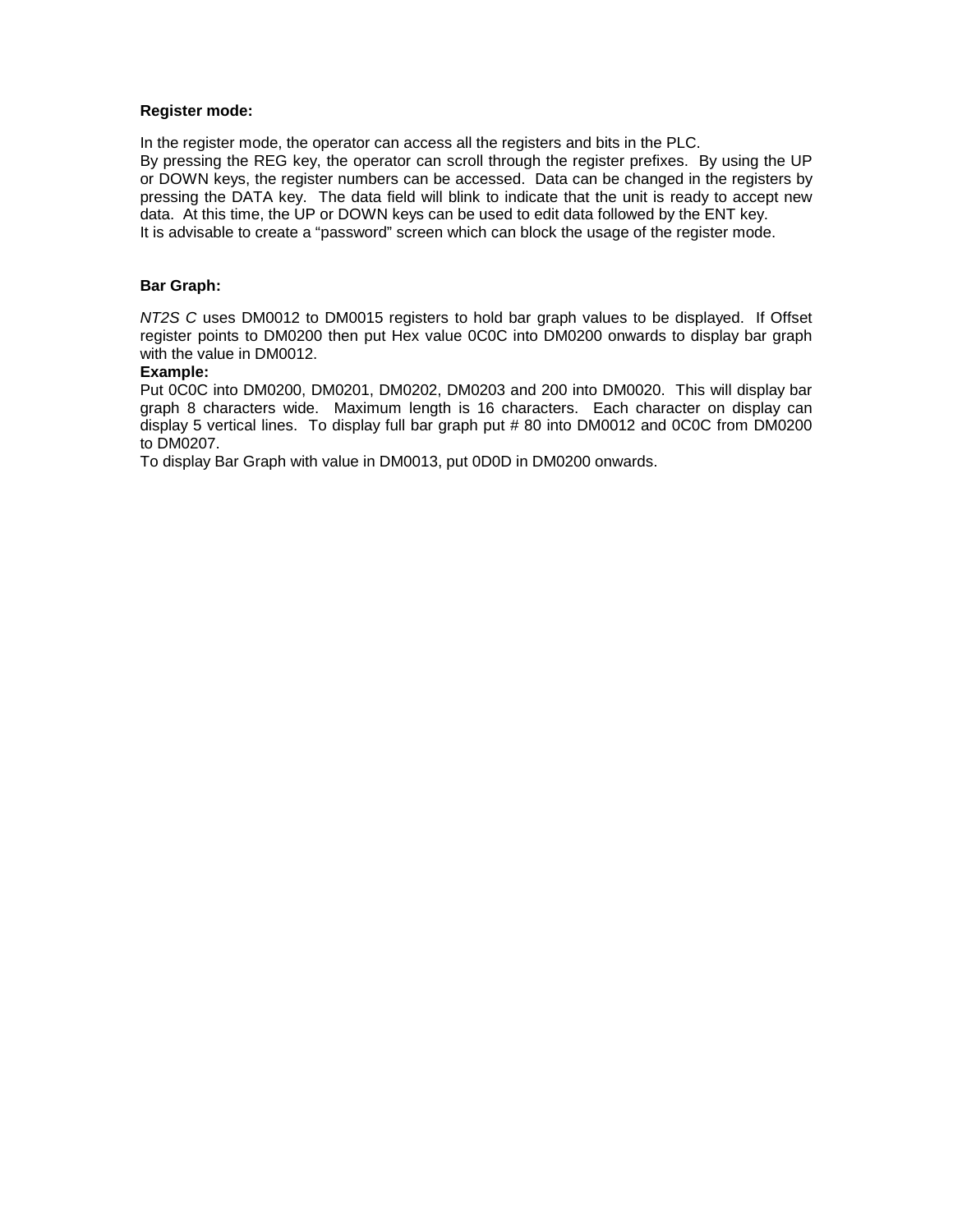#### **Register mode:**

In the register mode, the operator can access all the registers and bits in the PLC. By pressing the REG key, the operator can scroll through the register prefixes. By using the UP or DOWN keys, the register numbers can be accessed. Data can be changed in the registers by pressing the DATA key. The data field will blink to indicate that the unit is ready to accept new data. At this time, the UP or DOWN keys can be used to edit data followed by the ENT key. It is advisable to create a "password" screen which can block the usage of the register mode.

#### **Bar Graph:**

*NT2S C* uses DM0012 to DM0015 registers to hold bar graph values to be displayed. If Offset register points to DM0200 then put Hex value 0C0C into DM0200 onwards to display bar graph with the value in DM0012.

#### **Example:**

Put 0C0C into DM0200, DM0201, DM0202, DM0203 and 200 into DM0020. This will display bar graph 8 characters wide. Maximum length is 16 characters. Each character on display can display 5 vertical lines. To display full bar graph put # 80 into DM0012 and 0C0C from DM0200 to DM0207.

To display Bar Graph with value in DM0013, put 0D0D in DM0200 onwards.